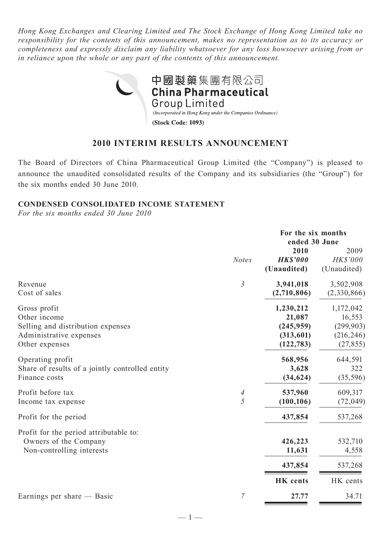*Hong Kong Exchanges and Clearing Limited and The Stock Exchange of Hong Kong Limited take no responsibility for the contents of this announcement, makes no representation as to its accuracy or completeness and expressly disclaim any liability whatsoever for any loss howsoever arising from or in reliance upon the whole or any part of the contents of this announcement.*



# **2010 INTERIM RESULTS ANNOUNCEMENT**

The Board of Directors of China Pharmaceutical Group Limited (the "Company") is pleased to announce the unaudited consolidated results of the Company and its subsidiaries (the "Group") for the six months ended 30 June 2010.

# **CONDENSED CONSOLIDATED INCOME STATEMENT**

*For the six months ended 30 June 2010*

|                                                                                                                |                                            | For the six months<br>ended 30 June                          |                                                              |
|----------------------------------------------------------------------------------------------------------------|--------------------------------------------|--------------------------------------------------------------|--------------------------------------------------------------|
|                                                                                                                | <b>Notes</b>                               | 2010<br><b>HK\$'000</b><br>(Unaudited)                       | 2009<br>HK\$'000<br>(Unaudited)                              |
| Revenue<br>Cost of sales                                                                                       | $\overline{3}$                             | 3,941,018<br>(2,710,806)                                     | 3,502,908<br>(2,330,866)                                     |
| Gross profit<br>Other income<br>Selling and distribution expenses<br>Administrative expenses<br>Other expenses |                                            | 1,230,212<br>21,087<br>(245, 959)<br>(313,601)<br>(122, 783) | 1,172,042<br>16,553<br>(299, 903)<br>(216, 246)<br>(27, 855) |
| Operating profit<br>Share of results of a jointly controlled entity<br>Finance costs                           |                                            | 568,956<br>3,628<br>(34, 624)                                | 644,591<br>322<br>(35, 596)                                  |
| Profit before tax<br>Income tax expense                                                                        | $\overline{\mathcal{A}}$<br>$\overline{5}$ | 537,960<br>(100, 106)                                        | 609,317<br>(72, 049)                                         |
| Profit for the period                                                                                          |                                            | 437,854                                                      | 537,268                                                      |
| Profit for the period attributable to:<br>Owners of the Company<br>Non-controlling interests                   |                                            | 426,223<br>11,631                                            | 532,710<br>4,558                                             |
|                                                                                                                |                                            | 437,854                                                      | 537,268                                                      |
|                                                                                                                |                                            | <b>HK</b> cents                                              | HK cents                                                     |
| Earnings per share — Basic                                                                                     | $\overline{7}$                             | 27.77                                                        | 34.71                                                        |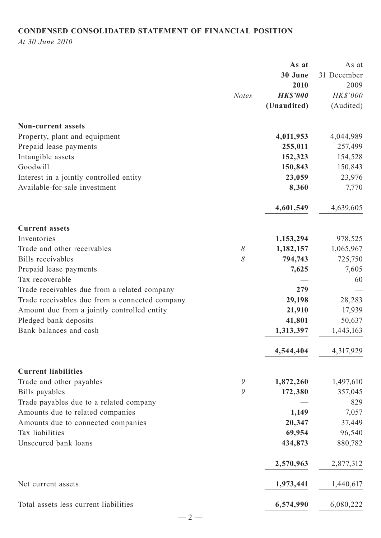# **CONDENSED CONSOLIDATED STATEMENT OF FINANCIAL POSITION**

*At 30 June 2010*

|                                                |              | As at           | As at       |
|------------------------------------------------|--------------|-----------------|-------------|
|                                                |              | 30 June         | 31 December |
|                                                |              | 2010            | 2009        |
|                                                | <b>Notes</b> | <b>HK\$'000</b> | HK\$'000    |
|                                                |              | (Unaudited)     | (Audited)   |
| <b>Non-current assets</b>                      |              |                 |             |
| Property, plant and equipment                  |              | 4,011,953       | 4,044,989   |
| Prepaid lease payments                         |              | 255,011         | 257,499     |
| Intangible assets                              |              | 152,323         | 154,528     |
| Goodwill                                       |              | 150,843         | 150,843     |
| Interest in a jointly controlled entity        |              | 23,059          | 23,976      |
| Available-for-sale investment                  |              | 8,360           | 7,770       |
|                                                |              | 4,601,549       | 4,639,605   |
| <b>Current assets</b>                          |              |                 |             |
| Inventories                                    |              | 1,153,294       | 978,525     |
| Trade and other receivables                    | $\delta$     | 1,182,157       | 1,065,967   |
| <b>Bills</b> receivables                       | 8            | 794,743         | 725,750     |
| Prepaid lease payments                         |              | 7,625           | 7,605       |
| Tax recoverable                                |              |                 | 60          |
| Trade receivables due from a related company   |              | 279             |             |
| Trade receivables due from a connected company |              | 29,198          | 28,283      |
| Amount due from a jointly controlled entity    |              | 21,910          | 17,939      |
| Pledged bank deposits                          |              | 41,801          | 50,637      |
| Bank balances and cash                         |              | 1,313,397       | 1,443,163   |
|                                                |              |                 |             |
|                                                |              | 4,544,404       | 4,317,929   |
| <b>Current liabilities</b>                     |              |                 |             |
| Trade and other payables                       | 9            | 1,872,260       | 1,497,610   |
| Bills payables                                 | 9            | 172,380         | 357,045     |
| Trade payables due to a related company        |              |                 | 829         |
| Amounts due to related companies               |              | 1,149           | 7,057       |
| Amounts due to connected companies             |              | 20,347          | 37,449      |
| Tax liabilities                                |              | 69,954          | 96,540      |
| Unsecured bank loans                           |              | 434,873         | 880,782     |
|                                                |              | 2,570,963       | 2,877,312   |
| Net current assets                             |              | 1,973,441       | 1,440,617   |
| Total assets less current liabilities          |              | 6,574,990       | 6,080,222   |
| $-2-$                                          |              |                 |             |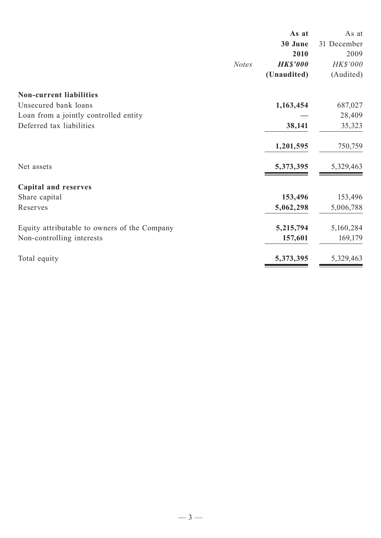|                                              | As at           | As at       |
|----------------------------------------------|-----------------|-------------|
|                                              | 30 June         | 31 December |
|                                              | 2010            | 2009        |
| <b>Notes</b>                                 | <b>HK\$'000</b> | HK\$'000    |
|                                              | (Unaudited)     | (Audited)   |
| <b>Non-current liabilities</b>               |                 |             |
| Unsecured bank loans                         | 1,163,454       | 687,027     |
| Loan from a jointly controlled entity        |                 | 28,409      |
| Deferred tax liabilities                     | 38,141          | 35,323      |
|                                              | 1,201,595       | 750,759     |
| Net assets                                   | 5,373,395       | 5,329,463   |
| <b>Capital and reserves</b>                  |                 |             |
| Share capital                                | 153,496         | 153,496     |
| Reserves                                     | 5,062,298       | 5,006,788   |
| Equity attributable to owners of the Company | 5,215,794       | 5,160,284   |
| Non-controlling interests                    | 157,601         | 169,179     |
| Total equity                                 | 5,373,395       | 5,329,463   |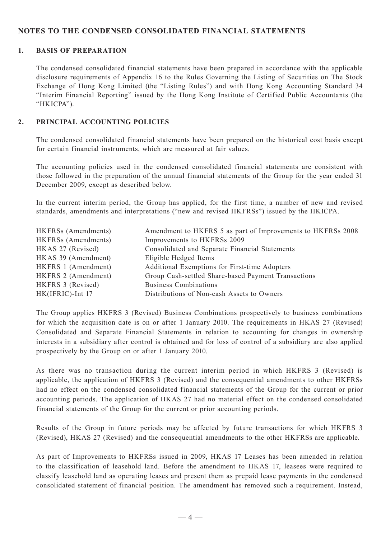# **NOTES TO THE CONDENSED CONSOLIDATED FINANCIAL STATEMENTS**

## **1. BASIS OF PREPARATION**

The condensed consolidated financial statements have been prepared in accordance with the applicable disclosure requirements of Appendix 16 to the Rules Governing the Listing of Securities on The Stock Exchange of Hong Kong Limited (the "Listing Rules") and with Hong Kong Accounting Standard 34 "Interim Financial Reporting" issued by the Hong Kong Institute of Certified Public Accountants (the "HKICPA").

## **2. PRINCIPAL ACCOUNTING POLICIES**

The condensed consolidated financial statements have been prepared on the historical cost basis except for certain financial instruments, which are measured at fair values.

The accounting policies used in the condensed consolidated financial statements are consistent with those followed in the preparation of the annual financial statements of the Group for the year ended 31 December 2009, except as described below.

In the current interim period, the Group has applied, for the first time, a number of new and revised standards, amendments and interpretations ("new and revised HKFRSs") issued by the HKICPA.

| <b>HKFRSs</b> (Amendments) | Amendment to HKFRS 5 as part of Improvements to HKFRSs 2008 |
|----------------------------|-------------------------------------------------------------|
| <b>HKFRSs</b> (Amendments) | Improvements to HKFRSs 2009                                 |
| HKAS 27 (Revised)          | Consolidated and Separate Financial Statements              |
| HKAS 39 (Amendment)        | Eligible Hedged Items                                       |
| HKFRS 1 (Amendment)        | Additional Exemptions for First-time Adopters               |
| HKFRS 2 (Amendment)        | Group Cash-settled Share-based Payment Transactions         |
| HKFRS 3 (Revised)          | <b>Business Combinations</b>                                |
| HK(IFRIC)-Int 17           | Distributions of Non-cash Assets to Owners                  |

The Group applies HKFRS 3 (Revised) Business Combinations prospectively to business combinations for which the acquisition date is on or after 1 January 2010. The requirements in HKAS 27 (Revised) Consolidated and Separate Financial Statements in relation to accounting for changes in ownership interests in a subsidiary after control is obtained and for loss of control of a subsidiary are also applied prospectively by the Group on or after 1 January 2010.

As there was no transaction during the current interim period in which HKFRS 3 (Revised) is applicable, the application of HKFRS 3 (Revised) and the consequential amendments to other HKFRSs had no effect on the condensed consolidated financial statements of the Group for the current or prior accounting periods. The application of HKAS 27 had no material effect on the condensed consolidated financial statements of the Group for the current or prior accounting periods.

Results of the Group in future periods may be affected by future transactions for which HKFRS 3 (Revised), HKAS 27 (Revised) and the consequential amendments to the other HKFRSs are applicable.

As part of Improvements to HKFRSs issued in 2009, HKAS 17 Leases has been amended in relation to the classification of leasehold land. Before the amendment to HKAS 17, leasees were required to classify leasehold land as operating leases and present them as prepaid lease payments in the condensed consolidated statement of financial position. The amendment has removed such a requirement. Instead,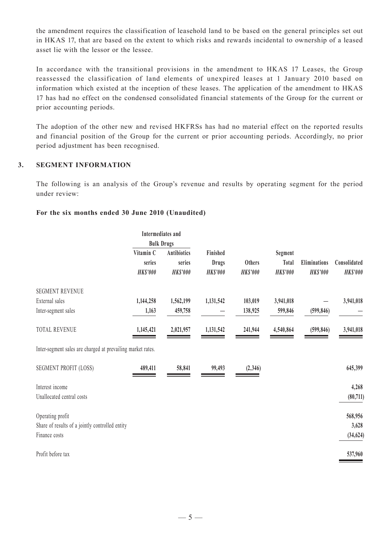the amendment requires the classification of leasehold land to be based on the general principles set out in HKAS 17, that are based on the extent to which risks and rewards incidental to ownership of a leased asset lie with the lessor or the lessee.

In accordance with the transitional provisions in the amendment to HKAS 17 Leases, the Group reassessed the classification of land elements of unexpired leases at 1 January 2010 based on information which existed at the inception of these leases. The application of the amendment to HKAS 17 has had no effect on the condensed consolidated financial statements of the Group for the current or prior accounting periods.

The adoption of the other new and revised HKFRSs has had no material effect on the reported results and financial position of the Group for the current or prior accounting periods. Accordingly, no prior period adjustment has been recognised.

## **3. SEGMENT INFORMATION**

The following is an analysis of the Group's revenue and results by operating segment for the period under review:

## **For the six months ended 30 June 2010 (Unaudited)**

|                                                             |                 | Intermediates and  |                 |                 |                 |                 |                 |
|-------------------------------------------------------------|-----------------|--------------------|-----------------|-----------------|-----------------|-----------------|-----------------|
|                                                             |                 | <b>Bulk Drugs</b>  |                 |                 |                 |                 |                 |
|                                                             | Vitamin C       | <b>Antibiotics</b> | Finished        |                 | Segment         |                 |                 |
|                                                             | series          | series             | <b>Drugs</b>    | <b>Others</b>   | Total           | Eliminations    | Consolidated    |
|                                                             | <b>HK\$'000</b> | <b>HK\$'000</b>    | <b>HK\$'000</b> | <b>HK\$'000</b> | <b>HK\$'000</b> | <b>HK\$'000</b> | <b>HK\$'000</b> |
| <b>SEGMENT REVENUE</b>                                      |                 |                    |                 |                 |                 |                 |                 |
| External sales                                              | 1,144,258       | 1,562,199          | 1,131,542       | 103,019         | 3,941,018       |                 | 3,941,018       |
| Inter-segment sales                                         | 1,163           | 459,758            |                 | 138,925         | 599,846         | (599, 846)      |                 |
| <b>TOTAL REVENUE</b>                                        | 1,145,421       | 2,021,957          | 1,131,542       | 241,944         | 4,540,864       | (599, 846)      | 3,941,018       |
| Inter-segment sales are charged at prevailing market rates. |                 |                    |                 |                 |                 |                 |                 |
| <b>SEGMENT PROFIT (LOSS)</b>                                | 489,411         | 58,841             | 99,493          | (2,346)         |                 |                 | 645,399         |
| Interest income                                             |                 |                    |                 |                 |                 |                 | 4,268           |
| Unallocated central costs                                   |                 |                    |                 |                 |                 |                 | (80,711)        |
| Operating profit                                            |                 |                    |                 |                 |                 |                 | 568,956         |
| Share of results of a jointly controlled entity             |                 |                    |                 |                 |                 |                 | 3,628           |
| Finance costs                                               |                 |                    |                 |                 |                 |                 | (34, 624)       |
| Profit before tax                                           |                 |                    |                 |                 |                 |                 | 537,960         |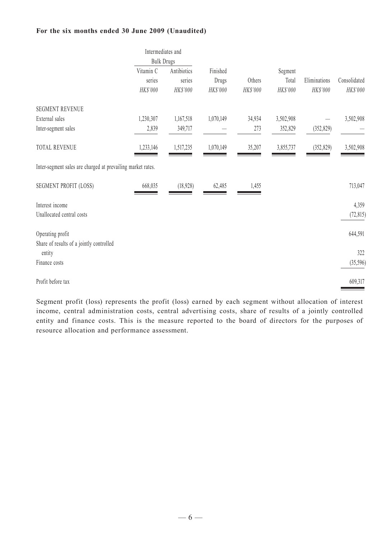#### **For the six months ended 30 June 2009 (Unaudited)**

|                                                             | Intermediates and |                   |           |          |           |              |              |
|-------------------------------------------------------------|-------------------|-------------------|-----------|----------|-----------|--------------|--------------|
|                                                             |                   | <b>Bulk Drugs</b> |           |          |           |              |              |
|                                                             | Vitamin C         | Antibiotics       | Finished  |          | Segment   |              |              |
|                                                             | series            | series            | Drugs     | Others   | Total     | Eliminations | Consolidated |
|                                                             | HK\$'000          | HK\$'000          | HK\$'000  | HK\$'000 | HK\$'000  | HK\$'000     | HK\$'000     |
| <b>SEGMENT REVENUE</b>                                      |                   |                   |           |          |           |              |              |
| External sales                                              | 1,230,307         | 1,167,518         | 1,070,149 | 34,934   | 3,502,908 |              | 3,502,908    |
| Inter-segment sales                                         | 2,839             | 349,717           |           | 273      | 352,829   | (352, 829)   |              |
| TOTAL REVENUE                                               | 1,233,146         | 1,517,235         | 1,070,149 | 35,207   | 3,855,737 | (352, 829)   | 3,502,908    |
| Inter-segment sales are charged at prevailing market rates. |                   |                   |           |          |           |              |              |
| SEGMENT PROFIT (LOSS)                                       | 668,035           | (18,928)          | 62,485    | 1,455    |           |              | 713,047      |
| Interest income                                             |                   |                   |           |          |           |              | 4,359        |
| Unallocated central costs                                   |                   |                   |           |          |           |              | (72, 815)    |
| Operating profit                                            |                   |                   |           |          |           |              | 644,591      |
| Share of results of a jointly controlled                    |                   |                   |           |          |           |              |              |
| entity                                                      |                   |                   |           |          |           |              | 322          |
| Finance costs                                               |                   |                   |           |          |           |              | (35, 596)    |
| Profit before tax                                           |                   |                   |           |          |           |              | 609,317      |
|                                                             |                   |                   |           |          |           |              |              |

Segment profit (loss) represents the profit (loss) earned by each segment without allocation of interest income, central administration costs, central advertising costs, share of results of a jointly controlled entity and finance costs. This is the measure reported to the board of directors for the purposes of resource allocation and performance assessment.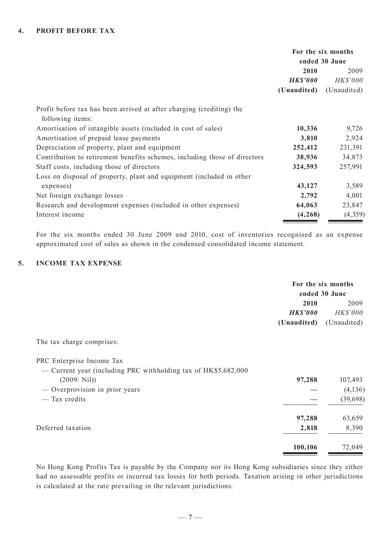|                                                                                          | For the six months |               |
|------------------------------------------------------------------------------------------|--------------------|---------------|
|                                                                                          |                    | ended 30 June |
|                                                                                          | 2010               | 2009          |
|                                                                                          | <b>HK\$'000</b>    | HK\$'000      |
|                                                                                          | (Unaudited)        | (Unaudited)   |
| Profit before tax has been arrived at after charging (crediting) the<br>following items: |                    |               |
| Amortisation of intangible assets (included in cost of sales)                            | 10,336             | 9,726         |
| Amortisation of prepaid lease payments                                                   | 3,810              | 2,924         |
| Depreciation of property, plant and equipment                                            | 252,412            | 231,391       |
| Contribution to retirement benefits schemes, including those of directors                | 38,936             | 34,873        |
| Staff costs, including those of directors                                                | 324,593            | 257,991       |
| Loss on disposal of property, plant and equipment (included in other                     |                    |               |
| expenses)                                                                                | 43,127             | 3,589         |
| Net foreign exchange losses                                                              | 2,792              | 4,001         |
| Research and development expenses (included in other expenses)                           | 64,063             | 23,847        |
| Interest income                                                                          | (4, 268)           | (4,359)       |

For the six months ended 30 June 2009 and 2010, cost of inventories recognised as an expense approximated cost of sales as shown in the condensed consolidated income statement.

# **5. INCOME TAX EXPENSE**

|                         | For the six months |  |  |
|-------------------------|--------------------|--|--|
|                         | ended 30 June      |  |  |
| 2010                    | 2009               |  |  |
| HKS'000                 | <i>HK\$'000</i>    |  |  |
| (Unaudited) (Unaudited) |                    |  |  |

The tax charge comprises:

PRC Enterprise Income Tax

| (2009: Nil)                    | 97,288  | 107,493   |
|--------------------------------|---------|-----------|
| — Overprovision in prior years |         | (4, 136)  |
| — Tax credits                  |         | (39, 698) |
|                                | 97,288  | 63,659    |
| Deferred taxation              | 2,818   | 8,390     |
|                                | 100,106 | 72,049    |

No Hong Kong Profits Tax is payable by the Company nor its Hong Kong subsidiaries since they either had no assessable profits or incurred tax losses for both periods. Taxation arising in other jurisdictions is calculated at the rate prevailing in the relevant jurisdictions.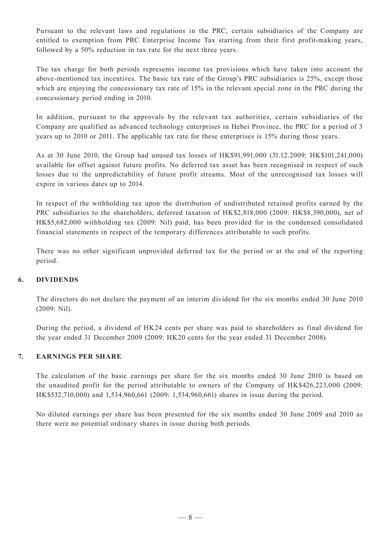Pursuant to the relevant laws and regulations in the PRC, certain subsidiaries of the Company are entitled to exemption from PRC Enterprise Income Tax starting from their first profit-making years, followed by a 50% reduction in tax rate for the next three years.

The tax charge for both periods represents income tax provisions which have taken into account the above-mentioned tax incentives. The basic tax rate of the Group's PRC subsidiaries is 25%, except those which are enjoying the concessionary tax rate of 15% in the relevant special zone in the PRC during the concessionary period ending in 2010.

In addition, pursuant to the approvals by the relevant tax authorities, certain subsidiaries of the Company are qualified as advanced technology enterprises in Hebei Province, the PRC for a period of 3 years up to 2010 or 2011. The applicable tax rate for these enterprises is 15% during those years.

As at 30 June 2010, the Group had unused tax losses of HK\$91,991,000 (31.12.2009: HK\$101,241,000) available for offset against future profits. No deferred tax asset has been recognised in respect of such losses due to the unpredictability of future profit streams. Most of the unrecognised tax losses will expire in various dates up to 2014.

In respect of the withholding tax upon the distribution of undistributed retained profits earned by the PRC subsidiaries to the shareholders, deferred taxation of HK\$2,818,000 (2009: HK\$8,390,000), net of HK\$5,682,000 withholding tax (2009: Nil) paid, has been provided for in the condensed consolidated financial statements in respect of the temporary differences attributable to such profits.

There was no other significant unprovided deferred tax for the period or at the end of the reporting period.

## **6. DIVIDENDS**

The directors do not declare the payment of an interim dividend for the six months ended 30 June 2010 (2009: Nil).

During the period, a dividend of HK24 cents per share was paid to shareholders as final dividend for the year ended 31 December 2009 (2009: HK20 cents for the year ended 31 December 2008).

## **7. EARNINGS PER SHARE**

The calculation of the basic earnings per share for the six months ended 30 June 2010 is based on the unaudited profit for the period attributable to owners of the Company of HK\$426,223,000 (2009: HK\$532,710,000) and 1,534,960,661 (2009: 1,534,960,661) shares in issue during the period.

No diluted earnings per share has been presented for the six months ended 30 June 2009 and 2010 as there were no potential ordinary shares in issue during both periods.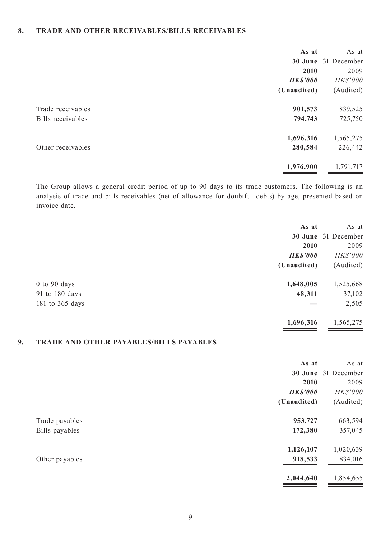#### **8. TRADE AND OTHER RECEIVABLES/BILLS RECEIVABLES**

|                   | As at           | As at               |
|-------------------|-----------------|---------------------|
|                   |                 | 30 June 31 December |
|                   | 2010            | 2009                |
|                   | <b>HK\$'000</b> | HK\$'000            |
|                   | (Unaudited)     | (Audited)           |
| Trade receivables | 901,573         | 839,525             |
| Bills receivables | 794,743         | 725,750             |
|                   | 1,696,316       | 1,565,275           |
| Other receivables | 280,584         | 226,442             |
|                   | 1,976,900       | 1,791,717           |
|                   |                 |                     |

The Group allows a general credit period of up to 90 days to its trade customers. The following is an analysis of trade and bills receivables (net of allowance for doubtful debts) by age, presented based on invoice date.

| As at                         | As at               |
|-------------------------------|---------------------|
|                               | 30 June 31 December |
| 2010                          | 2009                |
| <b>HK\$'000</b>               | HK\$'000            |
| (Unaudited)                   | (Audited)           |
| 1,648,005<br>$0$ to $90$ days | 1,525,668           |
| 48,311<br>91 to 180 days      | 37,102              |
| 181 to 365 days               | 2,505               |
| 1,696,316                     | 1,565,275           |

## **9. TRADE AND OTHER PAYABLES/BILLS PAYABLES**

|                | As at           | As at               |
|----------------|-----------------|---------------------|
|                |                 | 30 June 31 December |
|                | 2010            | 2009                |
|                | <b>HK\$'000</b> | HK\$'000            |
|                | (Unaudited)     | (Audited)           |
| Trade payables | 953,727         | 663,594             |
| Bills payables | 172,380         | 357,045             |
|                | 1,126,107       | 1,020,639           |
| Other payables | 918,533         | 834,016             |
|                | 2,044,640       | 1,854,655           |
|                |                 |                     |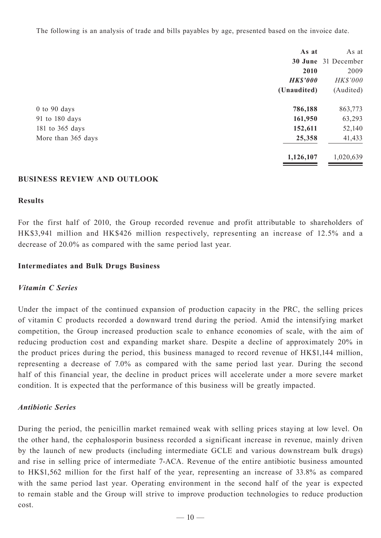The following is an analysis of trade and bills payables by age, presented based on the invoice date.

| As at                        | As at               |
|------------------------------|---------------------|
|                              | 30 June 31 December |
| 2010                         | 2009                |
| <b>HK\$'000</b>              | HK\$'000            |
| (Unaudited)                  | (Audited)           |
| 786,188<br>$0$ to $90$ days  | 863,773             |
| 161,950<br>91 to 180 days    | 63,293              |
| 152,611<br>181 to 365 days   | 52,140              |
| 25,358<br>More than 365 days | 41,433              |
| 1,126,107                    | 1,020,639           |

## **BUSINESS REVIEW AND OUTLOOK**

## **Results**

For the first half of 2010, the Group recorded revenue and profit attributable to shareholders of HK\$3,941 million and HK\$426 million respectively, representing an increase of 12.5% and a decrease of 20.0% as compared with the same period last year.

## **Intermediates and Bulk Drugs Business**

## *Vitamin C Series*

Under the impact of the continued expansion of production capacity in the PRC, the selling prices of vitamin C products recorded a downward trend during the period. Amid the intensifying market competition, the Group increased production scale to enhance economies of scale, with the aim of reducing production cost and expanding market share. Despite a decline of approximately 20% in the product prices during the period, this business managed to record revenue of HK\$1,144 million, representing a decrease of 7.0% as compared with the same period last year. During the second half of this financial year, the decline in product prices will accelerate under a more severe market condition. It is expected that the performance of this business will be greatly impacted.

## *Antibiotic Series*

During the period, the penicillin market remained weak with selling prices staying at low level. On the other hand, the cephalosporin business recorded a significant increase in revenue, mainly driven by the launch of new products (including intermediate GCLE and various downstream bulk drugs) and rise in selling price of intermediate 7-ACA. Revenue of the entire antibiotic business amounted to HK\$1,562 million for the first half of the year, representing an increase of 33.8% as compared with the same period last year. Operating environment in the second half of the year is expected to remain stable and the Group will strive to improve production technologies to reduce production cost.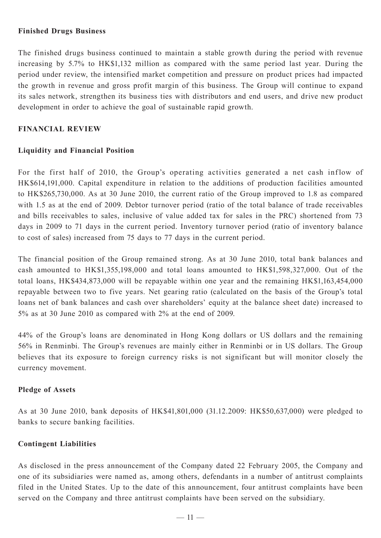# **Finished Drugs Business**

The finished drugs business continued to maintain a stable growth during the period with revenue increasing by 5.7% to HK\$1,132 million as compared with the same period last year. During the period under review, the intensified market competition and pressure on product prices had impacted the growth in revenue and gross profit margin of this business. The Group will continue to expand its sales network, strengthen its business ties with distributors and end users, and drive new product development in order to achieve the goal of sustainable rapid growth.

# **FINANCIAL REVIEW**

# **Liquidity and Financial Position**

For the first half of 2010, the Group's operating activities generated a net cash inflow of HK\$614,191,000. Capital expenditure in relation to the additions of production facilities amounted to HK\$265,730,000. As at 30 June 2010, the current ratio of the Group improved to 1.8 as compared with 1.5 as at the end of 2009. Debtor turnover period (ratio of the total balance of trade receivables and bills receivables to sales, inclusive of value added tax for sales in the PRC) shortened from 73 days in 2009 to 71 days in the current period. Inventory turnover period (ratio of inventory balance to cost of sales) increased from 75 days to 77 days in the current period.

The financial position of the Group remained strong. As at 30 June 2010, total bank balances and cash amounted to HK\$1,355,198,000 and total loans amounted to HK\$1,598,327,000. Out of the total loans, HK\$434,873,000 will be repayable within one year and the remaining HK\$1,163,454,000 repayable between two to five years. Net gearing ratio (calculated on the basis of the Group's total loans net of bank balances and cash over shareholders' equity at the balance sheet date) increased to 5% as at 30 June 2010 as compared with 2% at the end of 2009.

44% of the Group's loans are denominated in Hong Kong dollars or US dollars and the remaining 56% in Renminbi. The Group's revenues are mainly either in Renminbi or in US dollars. The Group believes that its exposure to foreign currency risks is not significant but will monitor closely the currency movement.

# **Pledge of Assets**

As at 30 June 2010, bank deposits of HK\$41,801,000 (31.12.2009: HK\$50,637,000) were pledged to banks to secure banking facilities.

# **Contingent Liabilities**

As disclosed in the press announcement of the Company dated 22 February 2005, the Company and one of its subsidiaries were named as, among others, defendants in a number of antitrust complaints filed in the United States. Up to the date of this announcement, four antitrust complaints have been served on the Company and three antitrust complaints have been served on the subsidiary.